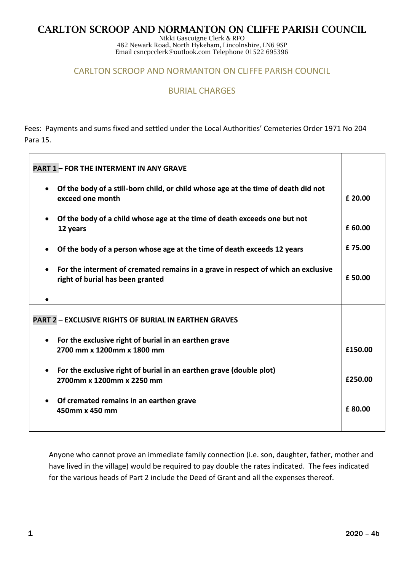# **CARLTON SCROOP AND NORMANTON ON CLIFFE PARISH COUNCIL**

Nikki Gascoigne Clerk & RFO 482 Newark Road, North Hykeham, Lincolnshire, LN6 9SP Email csncpcclerk@outlook.com Telephone 01522 695396

## CARLTON SCROOP AND NORMANTON ON CLIFFE PARISH COUNCIL

## BURIAL CHARGES

Fees: Payments and sums fixed and settled under the Local Authorities' Cemeteries Order 1971 No 204 Para 15.

| <b>PART 1 - FOR THE INTERMENT IN ANY GRAVE</b>                                                                        |         |
|-----------------------------------------------------------------------------------------------------------------------|---------|
| Of the body of a still-born child, or child whose age at the time of death did not<br>exceed one month                | £ 20.00 |
| Of the body of a child whose age at the time of death exceeds one but not<br>12 years                                 | £ 60.00 |
| Of the body of a person whose age at the time of death exceeds 12 years                                               | £75.00  |
| For the interment of cremated remains in a grave in respect of which an exclusive<br>right of burial has been granted | £50.00  |
|                                                                                                                       |         |
| <b>PART 2 - EXCLUSIVE RIGHTS OF BURIAL IN EARTHEN GRAVES</b>                                                          |         |
| For the exclusive right of burial in an earthen grave                                                                 |         |
| 2700 mm x 1200mm x 1800 mm                                                                                            | £150.00 |
| For the exclusive right of burial in an earthen grave (double plot)<br>2700mm x 1200mm x 2250 mm                      | £250.00 |
| Of cremated remains in an earthen grave<br>450mm x 450 mm                                                             | £80.00  |

Anyone who cannot prove an immediate family connection (i.e. son, daughter, father, mother and have lived in the village) would be required to pay double the rates indicated. The fees indicated for the various heads of Part 2 include the Deed of Grant and all the expenses thereof.